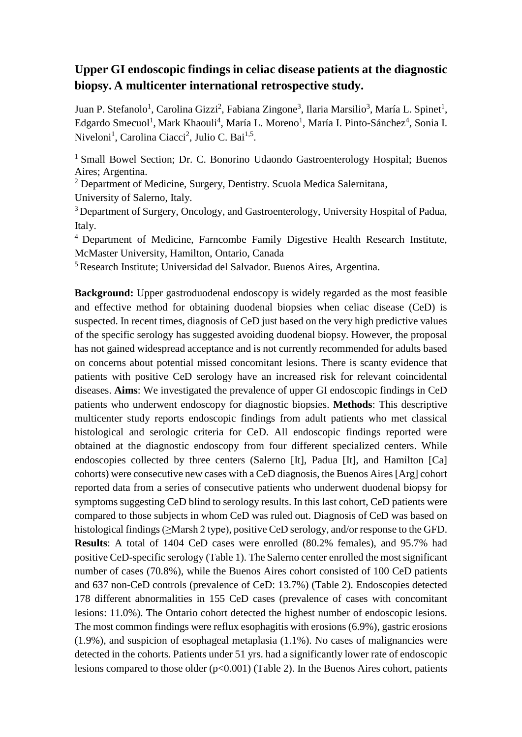## **Upper GI endoscopic findings in celiac disease patients at the diagnostic biopsy. A multicenter international retrospective study.**

Juan P. Stefanolo<sup>1</sup>, Carolina Gizzi<sup>2</sup>, Fabiana Zingone<sup>3</sup>, Ilaria Marsilio<sup>3</sup>, María L. Spinet<sup>1</sup>, Edgardo Smecuol<sup>1</sup>, Mark Khaouli<sup>4</sup>, María L. Moreno<sup>1</sup>, María I. Pinto-Sánchez<sup>4</sup>, Sonia I. Niveloni<sup>1</sup>, Carolina Ciacci<sup>2</sup>, Julio C. Bai<sup>1,5</sup>.

<sup>1</sup> Small Bowel Section; Dr. C. Bonorino Udaondo Gastroenterology Hospital; Buenos Aires; Argentina.

<sup>2</sup> Department of Medicine, Surgery, Dentistry. Scuola Medica Salernitana,

University of Salerno, Italy.

<sup>3</sup> Department of Surgery, Oncology, and Gastroenterology, University Hospital of Padua, Italy.

<sup>4</sup> Department of Medicine, Farncombe Family Digestive Health Research Institute, McMaster University, Hamilton, Ontario, Canada

<sup>5</sup> Research Institute; Universidad del Salvador. Buenos Aires, Argentina.

**Background:** Upper gastroduodenal endoscopy is widely regarded as the most feasible and effective method for obtaining duodenal biopsies when celiac disease (CeD) is suspected. In recent times, diagnosis of CeD just based on the very high predictive values of the specific serology has suggested avoiding duodenal biopsy. However, the proposal has not gained widespread acceptance and is not currently recommended for adults based on concerns about potential missed concomitant lesions. There is scanty evidence that patients with positive CeD serology have an increased risk for relevant coincidental diseases. **Aims**: We investigated the prevalence of upper GI endoscopic findings in CeD patients who underwent endoscopy for diagnostic biopsies. **Methods**: This descriptive multicenter study reports endoscopic findings from adult patients who met classical histological and serologic criteria for CeD. All endoscopic findings reported were obtained at the diagnostic endoscopy from four different specialized centers. While endoscopies collected by three centers (Salerno [It], Padua [It], and Hamilton [Ca] cohorts) were consecutive new cases with a CeD diagnosis, the Buenos Aires [Arg] cohort reported data from a series of consecutive patients who underwent duodenal biopsy for symptoms suggesting CeD blind to serology results. In this last cohort, CeD patients were compared to those subjects in whom CeD was ruled out. Diagnosis of CeD was based on histological findings(≥Marsh 2 type), positive CeD serology, and/or response to the GFD. **Results**: A total of 1404 CeD cases were enrolled (80.2% females), and 95.7% had positive CeD-specific serology (Table 1). The Salerno center enrolled the most significant number of cases (70.8%), while the Buenos Aires cohort consisted of 100 CeD patients and 637 non-CeD controls (prevalence of CeD: 13.7%) (Table 2). Endoscopies detected 178 different abnormalities in 155 CeD cases (prevalence of cases with concomitant lesions: 11.0%). The Ontario cohort detected the highest number of endoscopic lesions. The most common findings were reflux esophagitis with erosions (6.9%), gastric erosions (1.9%), and suspicion of esophageal metaplasia (1.1%). No cases of malignancies were detected in the cohorts. Patients under 51 yrs. had a significantly lower rate of endoscopic lesions compared to those older  $(p<0.001)$  (Table 2). In the Buenos Aires cohort, patients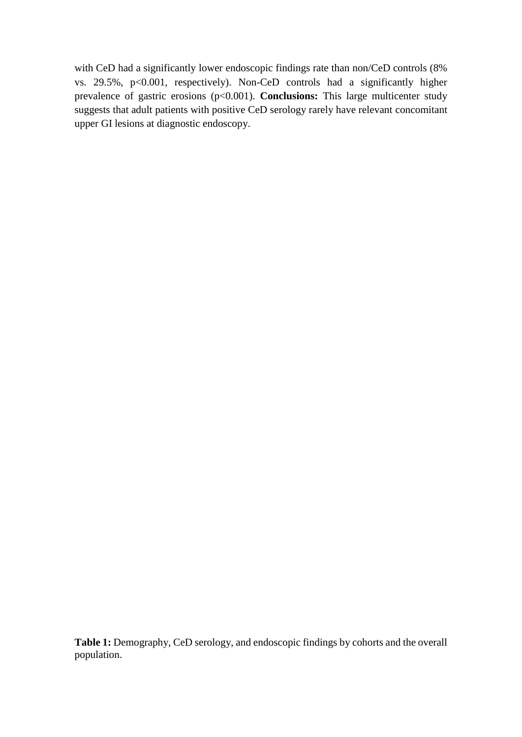with CeD had a significantly lower endoscopic findings rate than non/CeD controls (8% vs.  $29.5\%$ ,  $p<0.001$ , respectively). Non-CeD controls had a significantly higher prevalence of gastric erosions (p<0.001). **Conclusions:** This large multicenter study suggests that adult patients with positive CeD serology rarely have relevant concomitant upper GI lesions at diagnostic endoscopy.

Table 1: Demography, CeD serology, and endoscopic findings by cohorts and the overall population.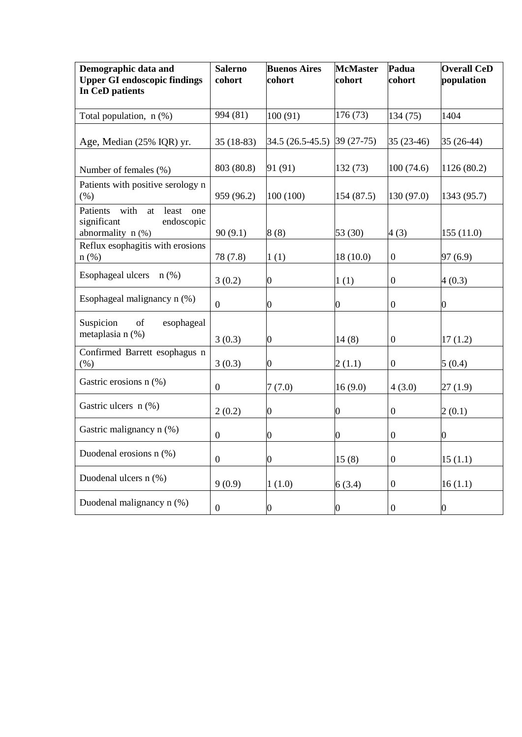| Demographic data and<br><b>Upper GI endoscopic findings</b><br>In CeD patients          | <b>Salerno</b><br>cohort | <b>Buenos Aires</b><br>cohort | <b>McMaster</b><br>cohort | Padua<br>cohort  | <b>Overall CeD</b><br>population |
|-----------------------------------------------------------------------------------------|--------------------------|-------------------------------|---------------------------|------------------|----------------------------------|
| Total population, $n$ (%)                                                               | 994 (81)                 | 100(91)                       | 176 (73)                  | 134 (75)         | 1404                             |
| Age, Median (25% IQR) yr.                                                               | $35(18-83)$              | 34.5 (26.5-45.5)              | $39(27-75)$               | $35(23-46)$      | $35(26-44)$                      |
| Number of females (%)                                                                   | 803 (80.8)               | 91 (91)                       | 132(73)                   | 100(74.6)        | 1126 (80.2)                      |
| Patients with positive serology n<br>(% )                                               | 959 (96.2)               | 100 (100)                     | 154 (87.5)                | 130 (97.0)       | 1343 (95.7)                      |
| Patients with<br>least<br>at<br>one<br>significant<br>endoscopic<br>abnormality $n$ (%) | 90(9.1)                  | 8(8)                          | 53 (30)                   | 4(3)             | 155(11.0)                        |
| Reflux esophagitis with erosions<br>$n$ (%)                                             | 78 (7.8)                 | 1(1)                          | 18(10.0)                  | $\boldsymbol{0}$ | 97(6.9)                          |
| Esophageal ulcers<br>$n$ (%)                                                            | 3(0.2)                   | $\boldsymbol{0}$              | 1(1)                      | $\boldsymbol{0}$ | 4(0.3)                           |
| Esophageal malignancy n (%)                                                             | $\boldsymbol{0}$         | $\overline{0}$                | 0                         | $\boldsymbol{0}$ | $\boldsymbol{0}$                 |
| Suspicion<br>of<br>esophageal<br>metaplasia n (%)                                       | 3(0.3)                   | $\overline{0}$                | 14(8)                     | $\boldsymbol{0}$ | 17(1.2)                          |
| Confirmed Barrett esophagus n<br>(%)                                                    | 3(0.3)                   | $\overline{0}$                | 2(1.1)                    | $\boldsymbol{0}$ | 5(0.4)                           |
| Gastric erosions n (%)                                                                  | $\boldsymbol{0}$         | 7(7.0)                        | 16(9.0)                   | 4(3.0)           | 27(1.9)                          |
| Gastric ulcers $n$ (%)                                                                  | 2(0.2)                   | $\overline{0}$                | $\overline{0}$            | $\boldsymbol{0}$ | 2(0.1)                           |
| Gastric malignancy n (%)                                                                | $\boldsymbol{0}$         | $\overline{0}$                | $\boldsymbol{0}$          | $\boldsymbol{0}$ | $\overline{0}$                   |
| Duodenal erosions n (%)                                                                 | $\boldsymbol{0}$         | $\overline{0}$                | 15(8)                     | 0                | 15(1.1)                          |
| Duodenal ulcers n (%)                                                                   | 9(0.9)                   | 1(1.0)                        | 6(3.4)                    | $\boldsymbol{0}$ | 16(1.1)                          |
| Duodenal malignancy n (%)                                                               | $\boldsymbol{0}$         | 0                             | $\boldsymbol{0}$          | $\boldsymbol{0}$ | $\boldsymbol{0}$                 |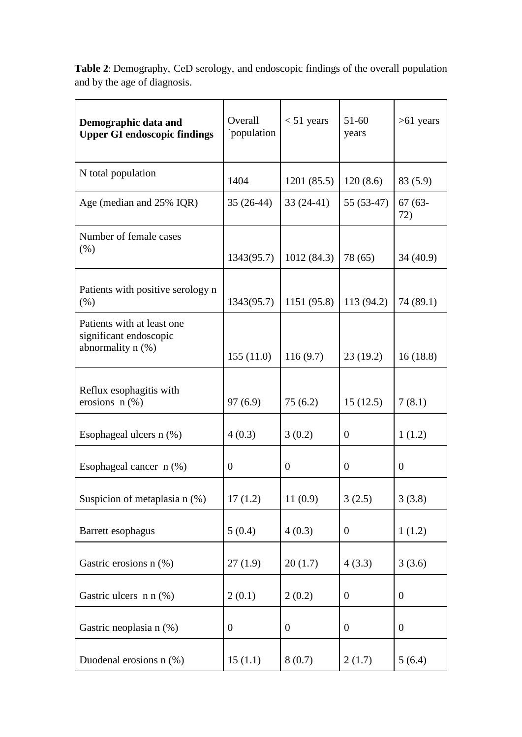| Demographic data and<br><b>Upper GI endoscopic findings</b>                | Overall<br>`population | $< 51$ years     | $51 - 60$<br>years | $>61$ years      |
|----------------------------------------------------------------------------|------------------------|------------------|--------------------|------------------|
| N total population                                                         | 1404                   | 1201 (85.5)      | 120(8.6)           | 83 (5.9)         |
| Age (median and 25% IQR)                                                   | $35(26-44)$            | $33(24-41)$      | $55(53-47)$        | $67(63 -$<br>72) |
| Number of female cases<br>(% )                                             | 1343(95.7)             | 1012(84.3)       | 78 (65)            | 34 (40.9)        |
| Patients with positive serology n<br>(% )                                  | 1343(95.7)             | 1151 (95.8)      | 113 (94.2)         | 74 (89.1)        |
| Patients with at least one.<br>significant endoscopic<br>abnormality n (%) | 155(11.0)              | 116(9.7)         | 23(19.2)           | 16(18.8)         |
| Reflux esophagitis with<br>erosions $n$ (%)                                | 97(6.9)                | 75(6.2)          | 15(12.5)           | 7(8.1)           |
| Esophageal ulcers $n$ (%)                                                  | 4(0.3)                 | 3(0.2)           | 0                  | 1(1.2)           |
| Esophageal cancer $n$ (%)                                                  | $\overline{0}$         | $\boldsymbol{0}$ | $\overline{0}$     | $\overline{0}$   |
| Suspicion of metaplasia n (%)                                              | 17(1.2)                | 11(0.9)          | 3(2.5)             | 3(3.8)           |
| Barrett esophagus                                                          | 5(0.4)                 | 4(0.3)           | $\overline{0}$     | 1(1.2)           |
| Gastric erosions n (%)                                                     | 27(1.9)                | 20(1.7)          | 4(3.3)             | 3(3.6)           |
| Gastric ulcers n n (%)                                                     | 2(0.1)                 | 2(0.2)           | $\boldsymbol{0}$   | $\boldsymbol{0}$ |
| Gastric neoplasia n (%)                                                    | $\boldsymbol{0}$       | $\boldsymbol{0}$ | $\boldsymbol{0}$   | $\boldsymbol{0}$ |
| Duodenal erosions n (%)                                                    | 15(1.1)                | 8(0.7)           | 2(1.7)             | 5(6.4)           |

**Table 2**: Demography, CeD serology, and endoscopic findings of the overall population and by the age of diagnosis.